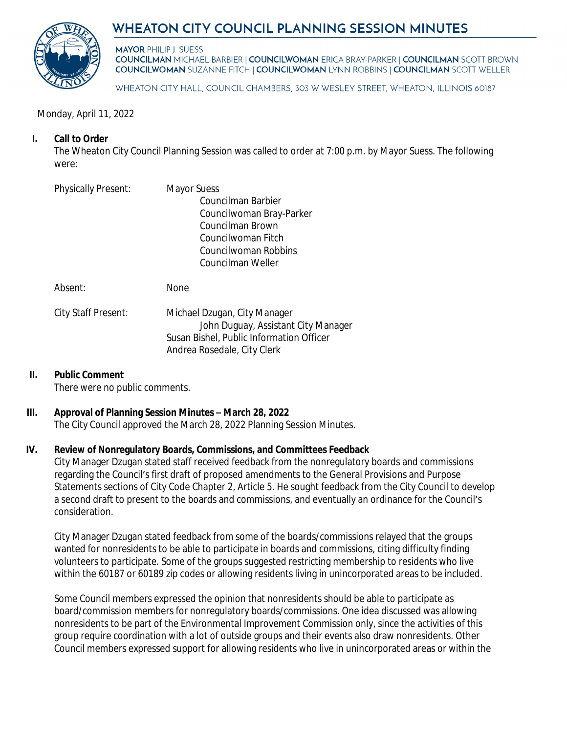## **WHEATON CITY COUNCIL PLANNING SESSION MINUTES**



**MAYOR PHILIP I. SUESS COUNCILMAN MICHAEL BARBIER | COUNCILWOMAN ERICA BRAY-PARKER | COUNCILMAN SCOTT BROWN COUNCILWOMAN SUZANNE FITCH | COUNCILWOMAN LYNN ROBBINS | COUNCILMAN SCOTT WELLER** 

WHEATON CITY HALL, COUNCIL CHAMBERS, 303 W WESLEY STREET, WHEATON, ILLINOIS 60187

### Monday, April 11, 2022

## **I. Call to Order**

The Wheaton City Council Planning Session was called to order at 7:00 p.m. by Mayor Suess. The following were:

| <b>Physically Present:</b> | Mayor Suess<br>Councilman Barbier<br>Councilwoman Bray-Parker<br>Councilman Brown                               |
|----------------------------|-----------------------------------------------------------------------------------------------------------------|
|                            | Councilwoman Fitch<br>Councilwoman Robbins<br>Councilman Weller                                                 |
| Absent:                    | <b>None</b>                                                                                                     |
| City Staff Present:        | Michael Dzugan, City Manager<br>John Duguay, Assistant City Manager<br>Susan Bishel, Public Information Officer |

# Andrea Rosedale, City Clerk

#### **II. Public Comment**

There were no public comments.

#### **III. Approval of Planning Session Minutes – March 28, 2022**

The City Council approved the March 28, 2022 Planning Session Minutes.

#### **IV. Review of Nonregulatory Boards, Commissions, and Committees Feedback**

City Manager Dzugan stated staff received feedback from the nonregulatory boards and commissions regarding the Council's first draft of proposed amendments to the General Provisions and Purpose Statements sections of City Code Chapter 2, Article 5. He sought feedback from the City Council to develop a second draft to present to the boards and commissions, and eventually an ordinance for the Council's consideration.

City Manager Dzugan stated feedback from some of the boards/commissions relayed that the groups wanted for nonresidents to be able to participate in boards and commissions, citing difficulty finding volunteers to participate. Some of the groups suggested restricting membership to residents who live within the 60187 or 60189 zip codes or allowing residents living in unincorporated areas to be included.

Some Council members expressed the opinion that nonresidents should be able to participate as board/commission members for nonregulatory boards/commissions. One idea discussed was allowing nonresidents to be part of the Environmental Improvement Commission only, since the activities of this group require coordination with a lot of outside groups and their events also draw nonresidents. Other Council members expressed support for allowing residents who live in unincorporated areas or within the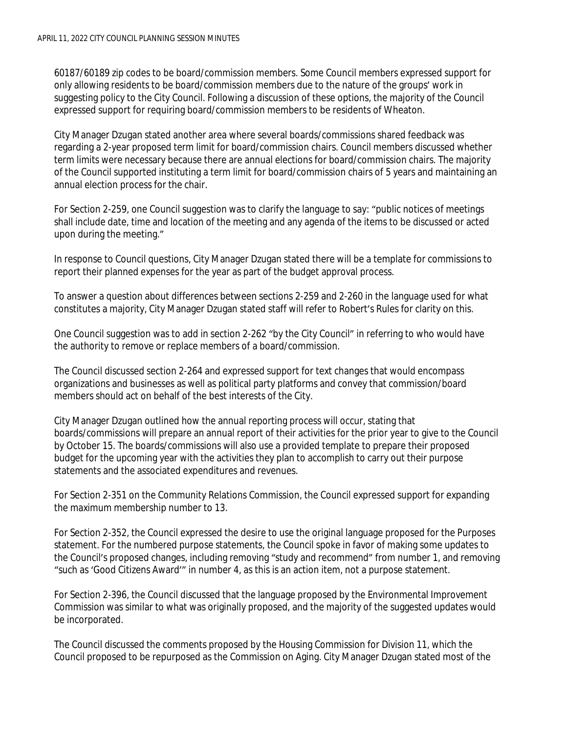60187/60189 zip codes to be board/commission members. Some Council members expressed support for only allowing residents to be board/commission members due to the nature of the groups' work in suggesting policy to the City Council. Following a discussion of these options, the majority of the Council expressed support for requiring board/commission members to be residents of Wheaton.

City Manager Dzugan stated another area where several boards/commissions shared feedback was regarding a 2-year proposed term limit for board/commission chairs. Council members discussed whether term limits were necessary because there are annual elections for board/commission chairs. The majority of the Council supported instituting a term limit for board/commission chairs of 5 years and maintaining an annual election process for the chair.

For Section 2-259, one Council suggestion was to clarify the language to say: "public notices of meetings shall include date, time and location of the meeting and any agenda of the items to be discussed or acted upon during the meeting."

In response to Council questions, City Manager Dzugan stated there will be a template for commissions to report their planned expenses for the year as part of the budget approval process.

To answer a question about differences between sections 2-259 and 2-260 in the language used for what constitutes a majority, City Manager Dzugan stated staff will refer to Robert's Rules for clarity on this.

One Council suggestion was to add in section 2-262 "by the City Council" in referring to who would have the authority to remove or replace members of a board/commission.

The Council discussed section 2-264 and expressed support for text changes that would encompass organizations and businesses as well as political party platforms and convey that commission/board members should act on behalf of the best interests of the City.

City Manager Dzugan outlined how the annual reporting process will occur, stating that boards/commissions will prepare an annual report of their activities for the prior year to give to the Council by October 15. The boards/commissions will also use a provided template to prepare their proposed budget for the upcoming year with the activities they plan to accomplish to carry out their purpose statements and the associated expenditures and revenues.

For Section 2-351 on the Community Relations Commission, the Council expressed support for expanding the maximum membership number to 13.

For Section 2-352, the Council expressed the desire to use the original language proposed for the Purposes statement. For the numbered purpose statements, the Council spoke in favor of making some updates to the Council's proposed changes, including removing "study and recommend" from number 1, and removing "such as 'Good Citizens Award'" in number 4, as this is an action item, not a purpose statement.

For Section 2-396, the Council discussed that the language proposed by the Environmental Improvement Commission was similar to what was originally proposed, and the majority of the suggested updates would be incorporated.

The Council discussed the comments proposed by the Housing Commission for Division 11, which the Council proposed to be repurposed as the Commission on Aging. City Manager Dzugan stated most of the